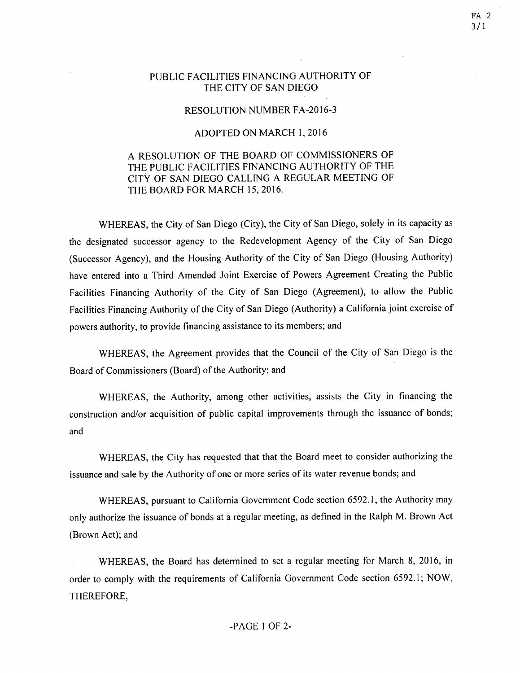## PUBLIC FACILITIES FINANCING AUTHORITY OF THE CITY OF SAN DIEGO

## RESOLUTION NUMBER FA-2016-3

## ADOPTED ON MARCH I, 2016

## A RESOLUTION OF THE BOARD OF COMMISSIONERS OF THE PUBLIC FACILITIES FINANCING AUTHORITY OF THE CITY OF SAN DIEGO CALLING A REGULAR MEETING OF THE BOARD FOR MARCH 15, 2016.

WHEREAS, the City of San Diego (City), the City of San Diego, solely in its capacity as the designated successor agency to the Redevelopment Agency of the City of San Diego (Successor Agency), and the Housing Authority of the City of San Diego (Housing Authority) have entered into a Third Amended Joint Exercise of Powers Agreement Creating the Public Facilities Financing Authority of the City of San Diego (Agreement), to allow the Public Facilities Financing Authority of the City of San Diego (Authority) a California joint exercise of powers authority, to provide financing assistance to its members; and

WHEREAS, the Agreement provides that the Council of the City of San Diego is the Board of Commissioners (Board) of the Authority; and

WHEREAS, the Authority, among other activities, assists the City in financing the construction and/or acquisition of public capital improvements through the issuance of bonds; and

WHEREAS, the City has requested that that the Board meet to consider authorizing the issuance and sale by the Authority of one or more series of its water revenue bonds; and

WHEREAS, pursuant to California Government Code section 6592.1, the Authority may only authorize the issuance of bonds at a regular meeting, as defined in the Ralph M. Brown Act (Brown Act); and

WHEREAS, the Board has determined to set a regular meeting for March 8, 2016, in order to comply with the requirements of California Government Code section 6592.1; NOW, THEREFORE,